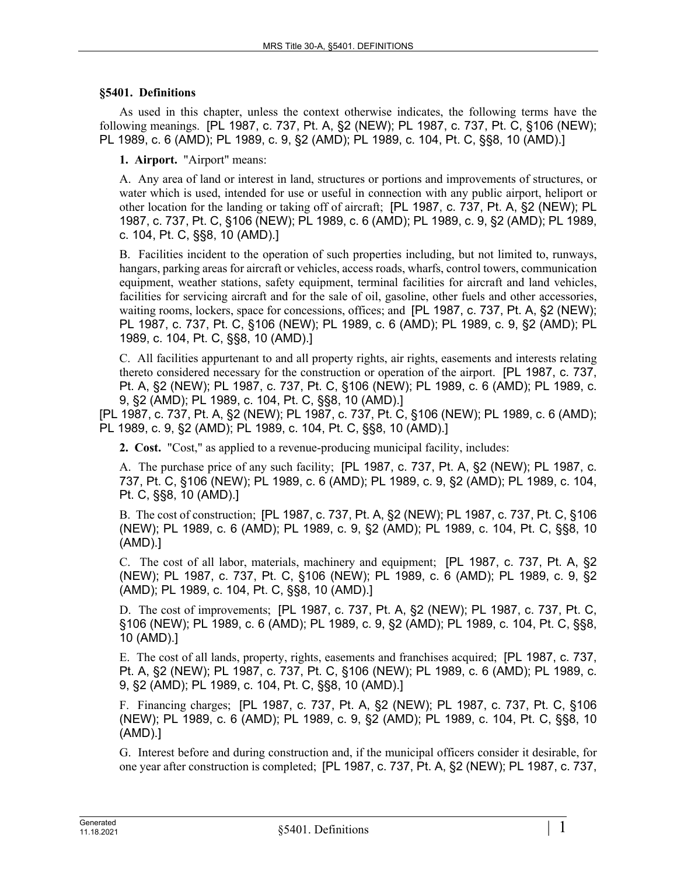## **§5401. Definitions**

As used in this chapter, unless the context otherwise indicates, the following terms have the following meanings. [PL 1987, c. 737, Pt. A, §2 (NEW); PL 1987, c. 737, Pt. C, §106 (NEW); PL 1989, c. 6 (AMD); PL 1989, c. 9, §2 (AMD); PL 1989, c. 104, Pt. C, §§8, 10 (AMD).]

**1. Airport.** "Airport" means:

A. Any area of land or interest in land, structures or portions and improvements of structures, or water which is used, intended for use or useful in connection with any public airport, heliport or other location for the landing or taking off of aircraft; [PL 1987, c. 737, Pt. A, §2 (NEW); PL 1987, c. 737, Pt. C, §106 (NEW); PL 1989, c. 6 (AMD); PL 1989, c. 9, §2 (AMD); PL 1989, c. 104, Pt. C, §§8, 10 (AMD).]

B. Facilities incident to the operation of such properties including, but not limited to, runways, hangars, parking areas for aircraft or vehicles, access roads, wharfs, control towers, communication equipment, weather stations, safety equipment, terminal facilities for aircraft and land vehicles, facilities for servicing aircraft and for the sale of oil, gasoline, other fuels and other accessories, waiting rooms, lockers, space for concessions, offices; and [PL 1987, c. 737, Pt. A, §2 (NEW); PL 1987, c. 737, Pt. C, §106 (NEW); PL 1989, c. 6 (AMD); PL 1989, c. 9, §2 (AMD); PL 1989, c. 104, Pt. C, §§8, 10 (AMD).]

C. All facilities appurtenant to and all property rights, air rights, easements and interests relating thereto considered necessary for the construction or operation of the airport. [PL 1987, c. 737, Pt. A, §2 (NEW); PL 1987, c. 737, Pt. C, §106 (NEW); PL 1989, c. 6 (AMD); PL 1989, c. 9, §2 (AMD); PL 1989, c. 104, Pt. C, §§8, 10 (AMD).]

[PL 1987, c. 737, Pt. A, §2 (NEW); PL 1987, c. 737, Pt. C, §106 (NEW); PL 1989, c. 6 (AMD); PL 1989, c. 9, §2 (AMD); PL 1989, c. 104, Pt. C, §§8, 10 (AMD).]

**2. Cost.** "Cost," as applied to a revenue-producing municipal facility, includes:

A. The purchase price of any such facility; [PL 1987, c. 737, Pt. A, §2 (NEW); PL 1987, c. 737, Pt. C, §106 (NEW); PL 1989, c. 6 (AMD); PL 1989, c. 9, §2 (AMD); PL 1989, c. 104, Pt. C, §§8, 10 (AMD).]

B. The cost of construction; [PL 1987, c. 737, Pt. A, §2 (NEW); PL 1987, c. 737, Pt. C, §106 (NEW); PL 1989, c. 6 (AMD); PL 1989, c. 9, §2 (AMD); PL 1989, c. 104, Pt. C, §§8, 10 (AMD).]

C. The cost of all labor, materials, machinery and equipment; [PL 1987, c. 737, Pt. A, §2 (NEW); PL 1987, c. 737, Pt. C, §106 (NEW); PL 1989, c. 6 (AMD); PL 1989, c. 9, §2 (AMD); PL 1989, c. 104, Pt. C, §§8, 10 (AMD).]

D. The cost of improvements; [PL 1987, c. 737, Pt. A, §2 (NEW); PL 1987, c. 737, Pt. C, §106 (NEW); PL 1989, c. 6 (AMD); PL 1989, c. 9, §2 (AMD); PL 1989, c. 104, Pt. C, §§8, 10 (AMD).]

E. The cost of all lands, property, rights, easements and franchises acquired; [PL 1987, c. 737, Pt. A, §2 (NEW); PL 1987, c. 737, Pt. C, §106 (NEW); PL 1989, c. 6 (AMD); PL 1989, c. 9, §2 (AMD); PL 1989, c. 104, Pt. C, §§8, 10 (AMD).]

F. Financing charges; [PL 1987, c. 737, Pt. A, §2 (NEW); PL 1987, c. 737, Pt. C, §106 (NEW); PL 1989, c. 6 (AMD); PL 1989, c. 9, §2 (AMD); PL 1989, c. 104, Pt. C, §§8, 10 (AMD).]

G. Interest before and during construction and, if the municipal officers consider it desirable, for one year after construction is completed; [PL 1987, c. 737, Pt. A, §2 (NEW); PL 1987, c. 737,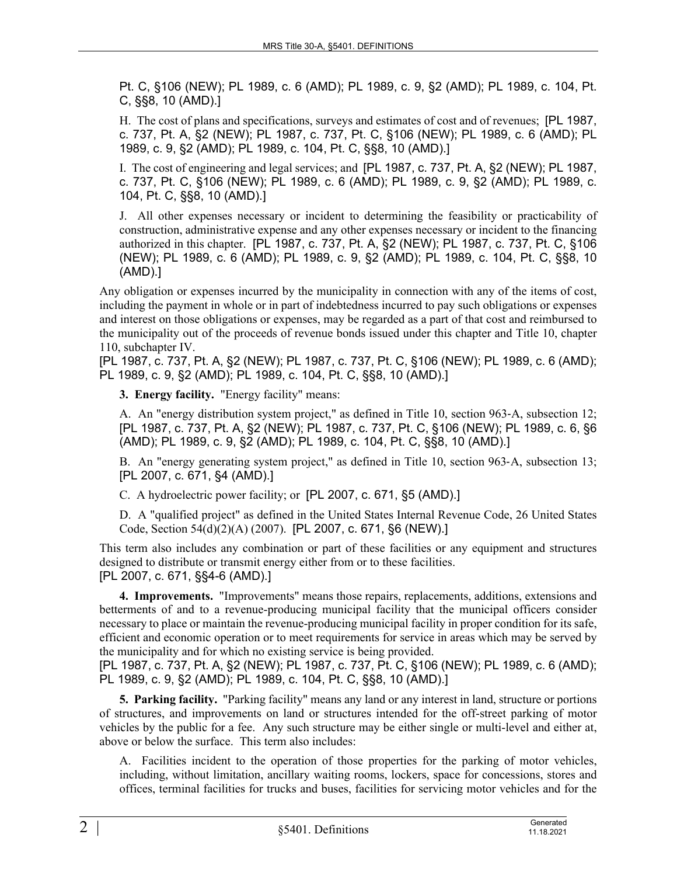Pt. C, §106 (NEW); PL 1989, c. 6 (AMD); PL 1989, c. 9, §2 (AMD); PL 1989, c. 104, Pt. C, §§8, 10 (AMD).]

H. The cost of plans and specifications, surveys and estimates of cost and of revenues; [PL 1987, c. 737, Pt. A, §2 (NEW); PL 1987, c. 737, Pt. C, §106 (NEW); PL 1989, c. 6 (AMD); PL 1989, c. 9, §2 (AMD); PL 1989, c. 104, Pt. C, §§8, 10 (AMD).]

I. The cost of engineering and legal services; and [PL 1987, c. 737, Pt. A, §2 (NEW); PL 1987, c. 737, Pt. C, §106 (NEW); PL 1989, c. 6 (AMD); PL 1989, c. 9, §2 (AMD); PL 1989, c. 104, Pt. C, §§8, 10 (AMD).]

J. All other expenses necessary or incident to determining the feasibility or practicability of construction, administrative expense and any other expenses necessary or incident to the financing authorized in this chapter. [PL 1987, c. 737, Pt. A, §2 (NEW); PL 1987, c. 737, Pt. C, §106 (NEW); PL 1989, c. 6 (AMD); PL 1989, c. 9, §2 (AMD); PL 1989, c. 104, Pt. C, §§8, 10 (AMD).]

Any obligation or expenses incurred by the municipality in connection with any of the items of cost, including the payment in whole or in part of indebtedness incurred to pay such obligations or expenses and interest on those obligations or expenses, may be regarded as a part of that cost and reimbursed to the municipality out of the proceeds of revenue bonds issued under this chapter and Title 10, chapter 110, subchapter IV.

[PL 1987, c. 737, Pt. A, §2 (NEW); PL 1987, c. 737, Pt. C, §106 (NEW); PL 1989, c. 6 (AMD); PL 1989, c. 9, §2 (AMD); PL 1989, c. 104, Pt. C, §§8, 10 (AMD).]

**3. Energy facility.** "Energy facility" means:

A. An "energy distribution system project," as defined in Title 10, section 963‑A, subsection 12; [PL 1987, c. 737, Pt. A, §2 (NEW); PL 1987, c. 737, Pt. C, §106 (NEW); PL 1989, c. 6, §6 (AMD); PL 1989, c. 9, §2 (AMD); PL 1989, c. 104, Pt. C, §§8, 10 (AMD).]

B. An "energy generating system project," as defined in Title 10, section 963‑A, subsection 13; [PL 2007, c. 671, §4 (AMD).]

C. A hydroelectric power facility; or [PL 2007, c. 671, §5 (AMD).]

D. A "qualified project" as defined in the United States Internal Revenue Code, 26 United States Code, Section 54(d)(2)(A) (2007). [PL 2007, c. 671, §6 (NEW).]

This term also includes any combination or part of these facilities or any equipment and structures designed to distribute or transmit energy either from or to these facilities. [PL 2007, c. 671, §§4-6 (AMD).]

**4. Improvements.** "Improvements" means those repairs, replacements, additions, extensions and betterments of and to a revenue-producing municipal facility that the municipal officers consider necessary to place or maintain the revenue-producing municipal facility in proper condition for its safe, efficient and economic operation or to meet requirements for service in areas which may be served by the municipality and for which no existing service is being provided.

[PL 1987, c. 737, Pt. A, §2 (NEW); PL 1987, c. 737, Pt. C, §106 (NEW); PL 1989, c. 6 (AMD); PL 1989, c. 9, §2 (AMD); PL 1989, c. 104, Pt. C, §§8, 10 (AMD).]

**5. Parking facility.** "Parking facility" means any land or any interest in land, structure or portions of structures, and improvements on land or structures intended for the off-street parking of motor vehicles by the public for a fee. Any such structure may be either single or multi-level and either at, above or below the surface. This term also includes:

A. Facilities incident to the operation of those properties for the parking of motor vehicles, including, without limitation, ancillary waiting rooms, lockers, space for concessions, stores and offices, terminal facilities for trucks and buses, facilities for servicing motor vehicles and for the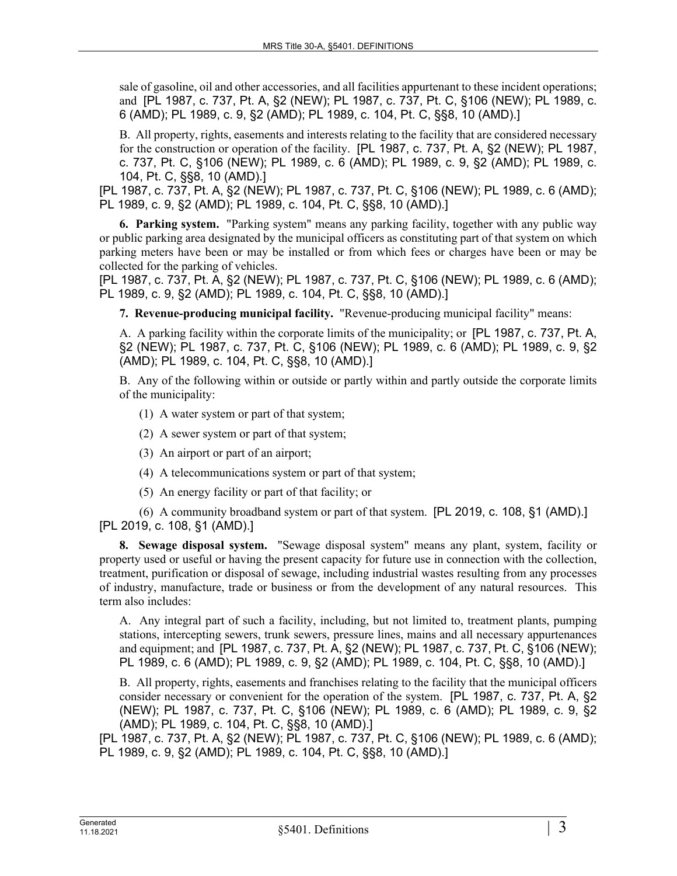sale of gasoline, oil and other accessories, and all facilities appurtenant to these incident operations; and [PL 1987, c. 737, Pt. A, §2 (NEW); PL 1987, c. 737, Pt. C, §106 (NEW); PL 1989, c. 6 (AMD); PL 1989, c. 9, §2 (AMD); PL 1989, c. 104, Pt. C, §§8, 10 (AMD).]

B. All property, rights, easements and interests relating to the facility that are considered necessary for the construction or operation of the facility. [PL 1987, c. 737, Pt. A, §2 (NEW); PL 1987, c. 737, Pt. C, §106 (NEW); PL 1989, c. 6 (AMD); PL 1989, c. 9, §2 (AMD); PL 1989, c. 104, Pt. C, §§8, 10 (AMD).]

[PL 1987, c. 737, Pt. A, §2 (NEW); PL 1987, c. 737, Pt. C, §106 (NEW); PL 1989, c. 6 (AMD); PL 1989, c. 9, §2 (AMD); PL 1989, c. 104, Pt. C, §§8, 10 (AMD).]

**6. Parking system.** "Parking system" means any parking facility, together with any public way or public parking area designated by the municipal officers as constituting part of that system on which parking meters have been or may be installed or from which fees or charges have been or may be collected for the parking of vehicles.

[PL 1987, c. 737, Pt. A, §2 (NEW); PL 1987, c. 737, Pt. C, §106 (NEW); PL 1989, c. 6 (AMD); PL 1989, c. 9, §2 (AMD); PL 1989, c. 104, Pt. C, §§8, 10 (AMD).]

**7. Revenue-producing municipal facility.** "Revenue-producing municipal facility" means:

A. A parking facility within the corporate limits of the municipality; or [PL 1987, c. 737, Pt. A, §2 (NEW); PL 1987, c. 737, Pt. C, §106 (NEW); PL 1989, c. 6 (AMD); PL 1989, c. 9, §2 (AMD); PL 1989, c. 104, Pt. C, §§8, 10 (AMD).]

B. Any of the following within or outside or partly within and partly outside the corporate limits of the municipality:

- (1) A water system or part of that system;
- (2) A sewer system or part of that system;
- (3) An airport or part of an airport;
- (4) A telecommunications system or part of that system;
- (5) An energy facility or part of that facility; or

(6) A community broadband system or part of that system. [PL 2019, c. 108, §1 (AMD).] [PL 2019, c. 108, §1 (AMD).]

**8. Sewage disposal system.** "Sewage disposal system" means any plant, system, facility or property used or useful or having the present capacity for future use in connection with the collection, treatment, purification or disposal of sewage, including industrial wastes resulting from any processes of industry, manufacture, trade or business or from the development of any natural resources. This term also includes:

A. Any integral part of such a facility, including, but not limited to, treatment plants, pumping stations, intercepting sewers, trunk sewers, pressure lines, mains and all necessary appurtenances and equipment; and [PL 1987, c. 737, Pt. A, §2 (NEW); PL 1987, c. 737, Pt. C, §106 (NEW); PL 1989, c. 6 (AMD); PL 1989, c. 9, §2 (AMD); PL 1989, c. 104, Pt. C, §§8, 10 (AMD).]

B. All property, rights, easements and franchises relating to the facility that the municipal officers consider necessary or convenient for the operation of the system. [PL 1987, c. 737, Pt. A, §2 (NEW); PL 1987, c. 737, Pt. C, §106 (NEW); PL 1989, c. 6 (AMD); PL 1989, c. 9, §2 (AMD); PL 1989, c. 104, Pt. C, §§8, 10 (AMD).]

[PL 1987, c. 737, Pt. A, §2 (NEW); PL 1987, c. 737, Pt. C, §106 (NEW); PL 1989, c. 6 (AMD); PL 1989, c. 9, §2 (AMD); PL 1989, c. 104, Pt. C, §§8, 10 (AMD).]